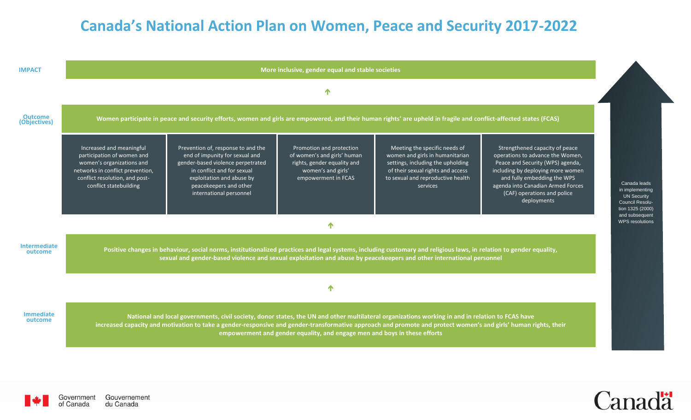## **Canada's National Action Plan on Women, Peace and Security 2017-2022**

| <b>IMPACT</b>                  |                                                                                                                                                                                                                                                                                                                                                                                                  |                                                                                                                                                                                                                           | More inclusive, gender equal and stable societies                                                                                   |                                                                                                                                                                                             |                                                                                                                                                                                                                                                               |  |  |  |
|--------------------------------|--------------------------------------------------------------------------------------------------------------------------------------------------------------------------------------------------------------------------------------------------------------------------------------------------------------------------------------------------------------------------------------------------|---------------------------------------------------------------------------------------------------------------------------------------------------------------------------------------------------------------------------|-------------------------------------------------------------------------------------------------------------------------------------|---------------------------------------------------------------------------------------------------------------------------------------------------------------------------------------------|---------------------------------------------------------------------------------------------------------------------------------------------------------------------------------------------------------------------------------------------------------------|--|--|--|
|                                |                                                                                                                                                                                                                                                                                                                                                                                                  |                                                                                                                                                                                                                           | 个                                                                                                                                   |                                                                                                                                                                                             |                                                                                                                                                                                                                                                               |  |  |  |
| <b>Outcome</b><br>(Objectives) | Women participate in peace and security efforts, women and girls are empowered, and their human rights' are upheld in fragile and conflict-affected states (FCAS)                                                                                                                                                                                                                                |                                                                                                                                                                                                                           |                                                                                                                                     |                                                                                                                                                                                             |                                                                                                                                                                                                                                                               |  |  |  |
|                                | Increased and meaningful<br>participation of women and<br>women's organizations and<br>networks in conflict prevention,<br>conflict resolution, and post-<br>conflict statebuilding                                                                                                                                                                                                              | Prevention of, response to and the<br>end of impunity for sexual and<br>gender-based violence perpetrated<br>in conflict and for sexual<br>exploitation and abuse by<br>peacekeepers and other<br>international personnel | Promotion and protection<br>of women's and girls' human<br>rights, gender equality and<br>women's and girls'<br>empowerment in FCAS | Meeting the specific needs of<br>women and girls in humanitarian<br>settings, including the upholding<br>of their sexual rights and access<br>to sexual and reproductive health<br>services | Strengthened capacity of peace<br>operations to advance the Women,<br>Peace and Security (WPS) agenda,<br>including by deploying more women<br>and fully embedding the WPS<br>agenda into Canadian Armed Forces<br>(CAF) operations and police<br>deployments |  |  |  |
|                                |                                                                                                                                                                                                                                                                                                                                                                                                  |                                                                                                                                                                                                                           | ↑                                                                                                                                   |                                                                                                                                                                                             |                                                                                                                                                                                                                                                               |  |  |  |
| <b>Intermediate</b><br>outcome | Positive changes in behaviour, social norms, institutionalized practices and legal systems, including customary and religious laws, in relation to gender equality,<br>sexual and gender-based violence and sexual exploitation and abuse by peacekeepers and other international personnel                                                                                                      |                                                                                                                                                                                                                           |                                                                                                                                     |                                                                                                                                                                                             |                                                                                                                                                                                                                                                               |  |  |  |
|                                |                                                                                                                                                                                                                                                                                                                                                                                                  |                                                                                                                                                                                                                           | $\blacktriangle$                                                                                                                    |                                                                                                                                                                                             |                                                                                                                                                                                                                                                               |  |  |  |
| <b>Immediate</b><br>outcome    | National and local governments, civil society, donor states, the UN and other multilateral organizations working in and in relation to FCAS have<br>increased capacity and motivation to take a gender-responsive and gender-transformative approach and promote and protect women's and girls' human rights, their<br>empowerment and gender equality, and engage men and boys in these efforts |                                                                                                                                                                                                                           |                                                                                                                                     |                                                                                                                                                                                             |                                                                                                                                                                                                                                                               |  |  |  |



Government Gouvernement<br>of Canada du Canada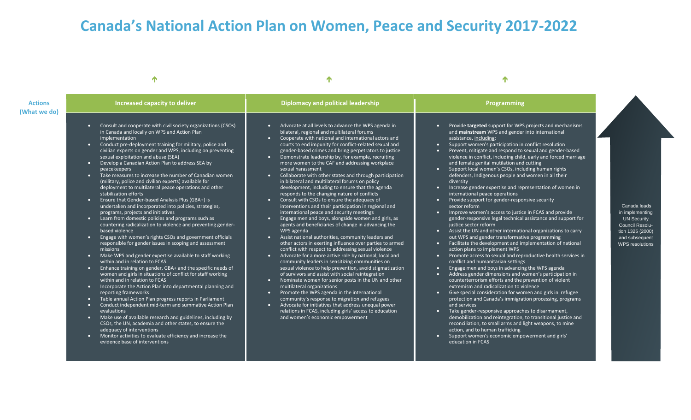## **Canada's National Action Plan on Women, Peace and Security 2017-2022**

 $\uparrow$  and  $\uparrow$  and  $\uparrow$  and  $\uparrow$  and  $\uparrow$  and  $\uparrow$  and  $\uparrow$  and  $\uparrow$  and  $\uparrow$  and  $\uparrow$  and  $\uparrow$  and  $\uparrow$ 

| <b>Actions</b><br>What we do) | Increased capacity to deliver                                                                                                                                                                                                                                                                                                                                                                                                                                                                                                                                                                                                                                                                                                                                                                                                                                                                                                                                                                                                                                                                                                                                                                                                                                                                                                                                                                                                                                                                                                                                                                                                                                                                                                                                                                                                                                               | <b>Diplomacy and political leadership</b>                                                                                                                                                                                                                                                                                                                                                                                                                                                                                                                                                                                                                                                                                                                                                                                                                                                                                                                                                                                                                                                                                                                                                                                                                                                                                                                                                                                                                                                                                                                                                                                                                                                                                                                                                                             | Programming                                                                                                                                                                                                                                                                                                                                                                                                                                                                                                                                                                                                                                                                                                                                                                                                                                                                                                                                                                                                                                                                                                                                                                                                                                                                                                                                                                                                                                                                                                                                                                                                                                                                                                                                                                                                                                                                                                                   |                                                                                                                                          |
|-------------------------------|-----------------------------------------------------------------------------------------------------------------------------------------------------------------------------------------------------------------------------------------------------------------------------------------------------------------------------------------------------------------------------------------------------------------------------------------------------------------------------------------------------------------------------------------------------------------------------------------------------------------------------------------------------------------------------------------------------------------------------------------------------------------------------------------------------------------------------------------------------------------------------------------------------------------------------------------------------------------------------------------------------------------------------------------------------------------------------------------------------------------------------------------------------------------------------------------------------------------------------------------------------------------------------------------------------------------------------------------------------------------------------------------------------------------------------------------------------------------------------------------------------------------------------------------------------------------------------------------------------------------------------------------------------------------------------------------------------------------------------------------------------------------------------------------------------------------------------------------------------------------------------|-----------------------------------------------------------------------------------------------------------------------------------------------------------------------------------------------------------------------------------------------------------------------------------------------------------------------------------------------------------------------------------------------------------------------------------------------------------------------------------------------------------------------------------------------------------------------------------------------------------------------------------------------------------------------------------------------------------------------------------------------------------------------------------------------------------------------------------------------------------------------------------------------------------------------------------------------------------------------------------------------------------------------------------------------------------------------------------------------------------------------------------------------------------------------------------------------------------------------------------------------------------------------------------------------------------------------------------------------------------------------------------------------------------------------------------------------------------------------------------------------------------------------------------------------------------------------------------------------------------------------------------------------------------------------------------------------------------------------------------------------------------------------------------------------------------------------|-------------------------------------------------------------------------------------------------------------------------------------------------------------------------------------------------------------------------------------------------------------------------------------------------------------------------------------------------------------------------------------------------------------------------------------------------------------------------------------------------------------------------------------------------------------------------------------------------------------------------------------------------------------------------------------------------------------------------------------------------------------------------------------------------------------------------------------------------------------------------------------------------------------------------------------------------------------------------------------------------------------------------------------------------------------------------------------------------------------------------------------------------------------------------------------------------------------------------------------------------------------------------------------------------------------------------------------------------------------------------------------------------------------------------------------------------------------------------------------------------------------------------------------------------------------------------------------------------------------------------------------------------------------------------------------------------------------------------------------------------------------------------------------------------------------------------------------------------------------------------------------------------------------------------------|------------------------------------------------------------------------------------------------------------------------------------------|
|                               | Consult and cooperate with civil society organizations (CSOs)<br>$\bullet$<br>in Canada and locally on WPS and Action Plan<br>implementation<br>Conduct pre-deployment training for military, police and<br>$\bullet$<br>civilian experts on gender and WPS, including on preventing<br>sexual exploitation and abuse (SEA)<br>• Develop a Canadian Action Plan to address SEA by<br>peacekeepers<br>Take measures to increase the number of Canadian women<br>$\bullet$ .<br>(military, police and civilian experts) available for<br>deployment to multilateral peace operations and other<br>stabilization efforts<br>• Ensure that Gender-based Analysis Plus (GBA+) is<br>undertaken and incorporated into policies, strategies,<br>programs, projects and initiatives<br>Learn from domestic policies and programs such as<br>$\bullet$<br>countering radicalization to violence and preventing gender-<br>based violence<br>• Engage with women's rights CSOs and government officials<br>responsible for gender issues in scoping and assessment<br>missions<br>• Make WPS and gender expertise available to staff working<br>within and in relation to FCAS<br>Enhance training on gender, GBA+ and the specific needs of<br>$\bullet$ .<br>women and girls in situations of conflict for staff working<br>within and in relation to FCAS<br>Incorporate the Action Plan into departmental planning and<br>$\bullet$<br>reporting frameworks<br>Table annual Action Plan progress reports in Parliament<br>$\bullet$ .<br>Conduct independent mid-term and summative Action Plan<br>evaluations<br>Make use of available research and guidelines, including by<br>$\bullet$<br>CSOs, the UN, academia and other states, to ensure the<br>adequacy of interventions<br>Monitor activities to evaluate efficiency and increase the<br>evidence base of interventions | Advocate at all levels to advance the WPS agenda in<br>$\bullet$ .<br>bilateral, regional and multilateral forums<br>Cooperate with national and international actors and<br>$\bullet$<br>courts to end impunity for conflict-related sexual and<br>gender-based crimes and bring perpetrators to justice<br>Demonstrate leadership by, for example, recruiting<br>$\bullet$ .<br>more women to the CAF and addressing workplace<br>sexual harassment<br>Collaborate with other states and through participation<br>$\bullet$<br>in bilateral and multilateral forums on policy<br>development, including to ensure that the agenda<br>responds to the changing nature of conflicts<br>Consult with CSOs to ensure the adequacy of<br>$\bullet$ .<br>interventions and their participation in regional and<br>international peace and security meetings<br>Engage men and boys, alongside women and girls, as<br>$\bullet$<br>agents and beneficiaries of change in advancing the<br>WPS agenda<br>Assist national authorities, community leaders and<br>$\bullet$<br>other actors in exerting influence over parties to armed<br>conflict with respect to addressing sexual violence<br>Advocate for a more active role by national, local and<br>$\bullet$<br>community leaders in sensitizing communities on<br>sexual violence to help prevention, avoid stigmatization<br>of survivors and assist with social reintegration<br>Nominate women for senior posts in the UN and other<br>$\bullet$<br>multilateral organizations<br>Promote the WPS agenda in the international<br>$\bullet$<br>community's response to migration and refugees<br>Advocate for initiatives that address unequal power<br>$\bullet$ .<br>relations in FCAS, including girls' access to education<br>and women's economic empowerment | Provide targeted support for WPS projects and mechanisms<br>$\bullet$<br>and mainstream WPS and gender into international<br>assistance, including:<br>Support women's participation in conflict resolution<br>Prevent, mitigate and respond to sexual and gender-based<br>o<br>violence in conflict, including child, early and forced marriage<br>and female genital mutilation and cutting<br>Support local women's CSOs, including human rights<br>o<br>defenders, Indigenous people and women in all their<br>diversity<br>Increase gender expertise and representation of women in<br>о<br>international peace operations<br>Provide support for gender-responsive security<br>$\bullet$<br>sector reform<br>Improve women's access to justice in FCAS and provide<br>o<br>gender-responsive legal technical assistance and support for<br>justice sector reform<br>• Assist the UN and other international organizations to carry<br>out WPS and gender transformative programming<br>Facilitate the development and implementation of national<br>$\bullet$<br>action plans to implement WPS<br>Promote access to sexual and reproductive health services in<br>$\bullet$<br>conflict and humanitarian settings<br>Engage men and boys in advancing the WPS agenda<br>$\bullet$<br>Address gender dimensions and women's participation in<br>$\bullet$<br>counterterrorism efforts and the prevention of violent<br>extremism and radicalization to violence<br>Give special consideration for women and girls in refugee<br>n<br>protection and Canada's immigration processing, programs<br>and services<br>Take gender-responsive approaches to disarmament,<br>$\bullet$<br>demobilization and reintegration, to transitional justice and<br>reconciliation, to small arms and light weapons, to mine<br>action, and to human trafficking<br>Support women's economic empowerment and girls'<br>education in FCAS | Canada leads<br>in implementing<br><b>UN Security</b><br>Council Resolu-<br>tion 1325 (2000)<br>and subsequent<br><b>WPS</b> resolutions |